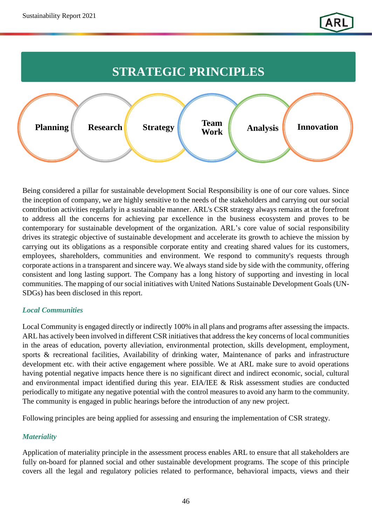# **STRATEGIC PRINCIPLES**



Being considered a pillar for sustainable development Social Responsibility is one of our core values. Since the inception of company, we are highly sensitive to the needs of the stakeholders and carrying out our social contribution activities regularly in a sustainable manner. ARL's CSR strategy always remains at the forefront to address all the concerns for achieving par excellence in the business ecosystem and proves to be contemporary for sustainable development of the organization. ARL's core value of social responsibility drives its strategic objective of sustainable development and accelerate its growth to achieve the mission by carrying out its obligations as a responsible corporate entity and creating shared values for its customers, employees, shareholders, communities and environment. We respond to community's requests through corporate actions in a transparent and sincere way. We always stand side by side with the community, offering consistent and long lasting support. The Company has a long history of supporting and investing in local communities. The mapping of our social initiatives with United Nations Sustainable Development Goals (UN-SDGs) has been disclosed in this report.

## *Local Communities*

Local Community is engaged directly or indirectly 100% in all plans and programs after assessing the impacts. ARL has actively been involved in different CSR initiatives that address the key concerns of local communities in the areas of education, poverty alleviation, environmental protection, skills development, employment, sports & recreational facilities, Availability of drinking water, Maintenance of parks and infrastructure development etc. with their active engagement where possible. We at ARL make sure to avoid operations having potential negative impacts hence there is no significant direct and indirect economic, social, cultural and environmental impact identified during this year. EIA/IEE & Risk assessment studies are conducted periodically to mitigate any negative potential with the control measures to avoid any harm to the community. The community is engaged in public hearings before the introduction of any new project.

Following principles are being applied for assessing and ensuring the implementation of CSR strategy.

## *Materiality*

Application of materiality principle in the assessment process enables ARL to ensure that all stakeholders are fully on-board for planned social and other sustainable development programs. The scope of this principle covers all the legal and regulatory policies related to performance, behavioral impacts, views and their